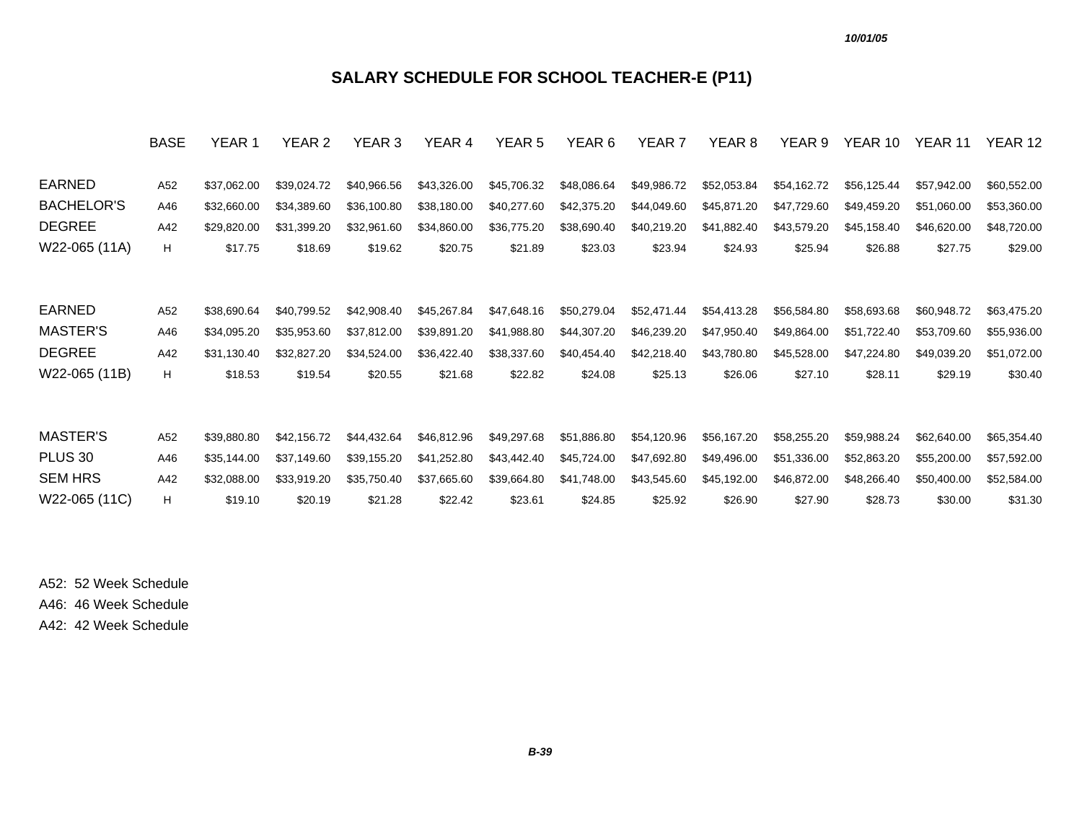### **SALARY SCHEDULE FOR SCHOOL TEACHER-E (P11)**

|                    | <b>BASE</b> | YEAR 1      | YEAR 2      | YEAR 3      | YEAR 4      | YEAR <sub>5</sub> | YEAR 6      | YEAR <sub>7</sub> | YEAR 8      | YEAR 9      | YEAR 10     | YEAR 11     | YEAR 12     |
|--------------------|-------------|-------------|-------------|-------------|-------------|-------------------|-------------|-------------------|-------------|-------------|-------------|-------------|-------------|
| <b>EARNED</b>      | A52         | \$37,062.00 | \$39,024.72 | \$40,966.56 | \$43,326.00 | \$45,706.32       | \$48,086.64 | \$49,986.72       | \$52,053.84 | \$54,162.72 | \$56,125.44 | \$57,942.00 | \$60,552.00 |
| <b>BACHELOR'S</b>  | A46         | \$32,660.00 | \$34,389.60 | \$36,100.80 | \$38,180.00 | \$40,277.60       | \$42,375.20 | \$44,049.60       | \$45,871.20 | \$47,729.60 | \$49,459.20 | \$51,060.00 | \$53,360.00 |
| <b>DEGREE</b>      | A42         | \$29,820.00 | \$31,399.20 | \$32,961.60 | \$34,860.00 | \$36,775.20       | \$38,690.40 | \$40,219.20       | \$41,882.40 | \$43,579.20 | \$45,158.40 | \$46,620.00 | \$48,720.00 |
| W22-065 (11A)      | H           | \$17.75     | \$18.69     | \$19.62     | \$20.75     | \$21.89           | \$23.03     | \$23.94           | \$24.93     | \$25.94     | \$26.88     | \$27.75     | \$29.00     |
|                    |             |             |             |             |             |                   |             |                   |             |             |             |             |             |
| EARNED             | A52         | \$38,690.64 | \$40,799.52 | \$42,908.40 | \$45,267.84 | \$47,648.16       | \$50,279.04 | \$52,471.44       | \$54,413.28 | \$56,584.80 | \$58,693.68 | \$60,948.72 | \$63,475.20 |
| MASTER'S           | A46         | \$34,095.20 | \$35,953.60 | \$37,812.00 | \$39,891.20 | \$41,988.80       | \$44,307.20 | \$46,239.20       | \$47,950.40 | \$49,864.00 | \$51,722.40 | \$53,709.60 | \$55,936.00 |
| <b>DEGREE</b>      | A42         | \$31,130.40 | \$32,827.20 | \$34,524.00 | \$36,422.40 | \$38,337.60       | \$40,454.40 | \$42,218.40       | \$43,780.80 | \$45,528.00 | \$47,224.80 | \$49,039.20 | \$51,072.00 |
| W22-065 (11B)      | H           | \$18.53     | \$19.54     | \$20.55     | \$21.68     | \$22.82           | \$24.08     | \$25.13           | \$26.06     | \$27.10     | \$28.11     | \$29.19     | \$30.40     |
|                    |             |             |             |             |             |                   |             |                   |             |             |             |             |             |
| <b>MASTER'S</b>    | A52         | \$39,880.80 | \$42,156.72 | \$44,432.64 | \$46,812.96 | \$49,297.68       | \$51,886.80 | \$54,120.96       | \$56,167.20 | \$58,255.20 | \$59,988.24 | \$62,640.00 | \$65,354.40 |
| PLUS <sub>30</sub> | A46         | \$35,144.00 | \$37,149.60 | \$39,155.20 | \$41,252.80 | \$43,442.40       | \$45,724.00 | \$47,692.80       | \$49,496.00 | \$51,336.00 | \$52,863.20 | \$55,200.00 | \$57,592.00 |
| <b>SEM HRS</b>     | A42         | \$32,088.00 | \$33,919.20 | \$35,750.40 | \$37,665.60 | \$39,664.80       | \$41,748.00 | \$43,545.60       | \$45,192.00 | \$46,872.00 | \$48,266.40 | \$50,400.00 | \$52,584.00 |
| W22-065 (11C)      | H           | \$19.10     | \$20.19     | \$21.28     | \$22.42     | \$23.61           | \$24.85     | \$25.92           | \$26.90     | \$27.90     | \$28.73     | \$30.00     | \$31.30     |

A52: 52 Week Schedule A46: 46 Week Schedule

A42: 42 Week Schedule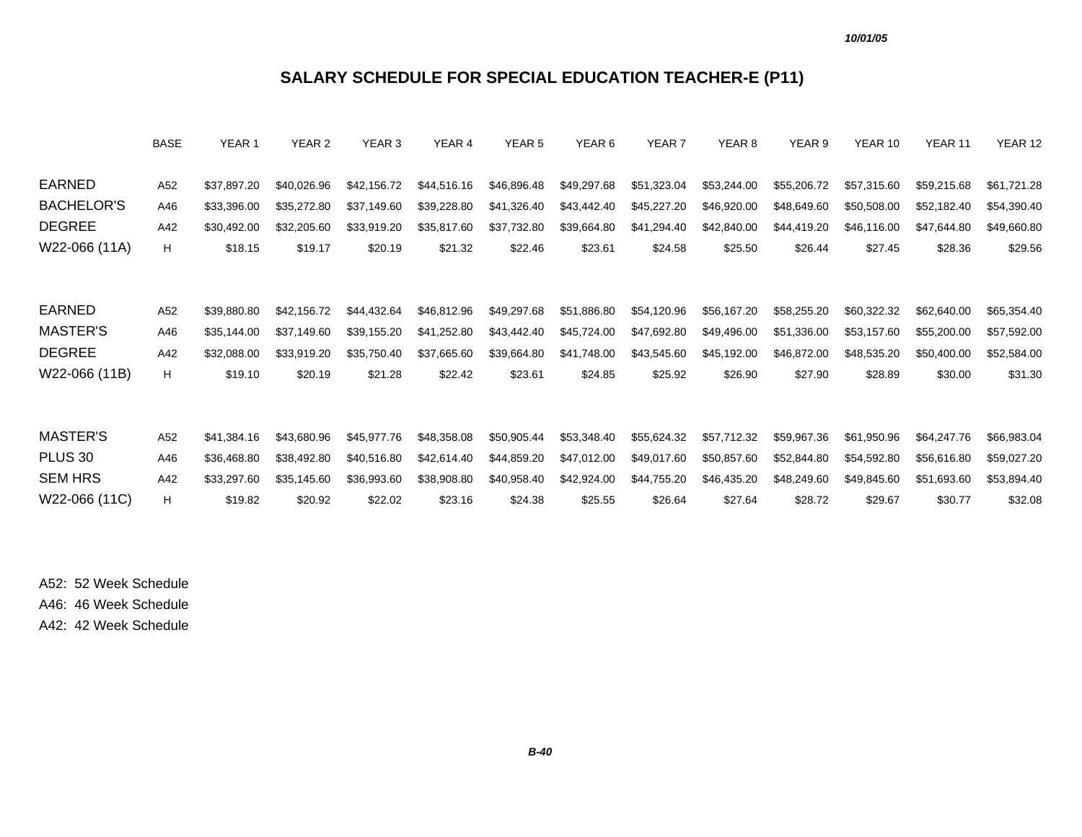### **SALARY SCHEDULE FOR SPECIAL EDUCATION TEACHER-E (P11)**

|                    | <b>BASE</b> | YEAR 1      | YEAR 2      | YEAR <sub>3</sub> | YEAR 4      | YEAR <sub>5</sub> | YEAR 6      | YEAR <sub>7</sub> | YEAR <sub>8</sub> | YEAR 9      | YEAR 10     | YEAR 11     | YEAR 12     |
|--------------------|-------------|-------------|-------------|-------------------|-------------|-------------------|-------------|-------------------|-------------------|-------------|-------------|-------------|-------------|
| EARNED             | A52         | \$37,897.20 | \$40,026.96 | \$42,156.72       | \$44,516.16 | \$46,896.48       | \$49,297.68 | \$51,323.04       | \$53,244.00       | \$55,206.72 | \$57,315.60 | \$59,215.68 | \$61,721.28 |
|                    |             |             |             |                   |             |                   |             |                   |                   |             |             |             |             |
| <b>BACHELOR'S</b>  | A46         | \$33,396.00 | \$35,272.80 | \$37,149.60       | \$39,228.80 | \$41,326.40       | \$43,442.40 | \$45,227.20       | \$46,920.00       | \$48,649.60 | \$50,508.00 | \$52,182.40 | \$54,390.40 |
| <b>DEGREE</b>      | A42         | \$30,492.00 | \$32,205.60 | \$33,919.20       | \$35,817.60 | \$37,732.80       | \$39,664.80 | \$41,294.40       | \$42,840.00       | \$44,419.20 | \$46,116.00 | \$47,644.80 | \$49,660.80 |
| W22-066 (11A)      | H.          | \$18.15     | \$19.17     | \$20.19           | \$21.32     | \$22.46           | \$23.61     | \$24.58           | \$25.50           | \$26.44     | \$27.45     | \$28.36     | \$29.56     |
|                    |             |             |             |                   |             |                   |             |                   |                   |             |             |             |             |
| EARNED             | A52         |             | \$42,156.72 |                   | \$46,812.96 | \$49,297.68       |             |                   |                   | \$58,255.20 | \$60,322.32 | \$62,640.00 | \$65,354.40 |
|                    |             | \$39,880.80 |             | \$44,432.64       |             |                   | \$51,886.80 | \$54,120.96       | \$56,167.20       |             |             |             |             |
| MASTER'S           | A46         | \$35,144.00 | \$37.149.60 | \$39,155.20       | \$41,252.80 | \$43,442.40       | \$45,724.00 | \$47,692.80       | \$49,496.00       | \$51,336.00 | \$53,157.60 | \$55,200.00 | \$57,592.00 |
| <b>DEGREE</b>      | A42         | \$32,088.00 | \$33.919.20 | \$35,750.40       | \$37,665.60 | \$39,664.80       | \$41,748.00 | \$43,545.60       | \$45,192.00       | \$46,872.00 | \$48,535.20 | \$50,400.00 | \$52,584.00 |
| W22-066 (11B)      | H.          | \$19.10     | \$20.19     | \$21.28           | \$22.42     | \$23.61           | \$24.85     | \$25.92           | \$26.90           | \$27.90     | \$28.89     | \$30.00     | \$31.30     |
|                    |             |             |             |                   |             |                   |             |                   |                   |             |             |             |             |
| <b>MASTER'S</b>    | A52         | \$41,384.16 | \$43,680.96 | \$45,977.76       | \$48,358.08 | \$50,905.44       | \$53,348.40 | \$55,624.32       | \$57,712.32       | \$59,967.36 | \$61,950.96 | \$64,247.76 | \$66,983.04 |
| PLUS <sub>30</sub> | A46         | \$36,468.80 | \$38,492.80 | \$40,516.80       | \$42,614.40 | \$44,859.20       | \$47,012.00 | \$49,017.60       | \$50,857.60       | \$52,844.80 | \$54,592.80 | \$56,616.80 | \$59,027.20 |
| <b>SEM HRS</b>     | A42         | \$33,297.60 | \$35,145.60 | \$36,993.60       | \$38,908.80 | \$40,958.40       | \$42,924.00 | \$44,755.20       | \$46,435.20       | \$48,249.60 | \$49,845.60 | \$51,693.60 | \$53,894.40 |
| W22-066 (11C)      | н           | \$19.82     | \$20.92     | \$22.02           | \$23.16     | \$24.38           | \$25.55     | \$26.64           | \$27.64           | \$28.72     | \$29.67     | \$30.77     | \$32.08     |
|                    |             |             |             |                   |             |                   |             |                   |                   |             |             |             |             |

A52: 52 Week Schedule A46: 46 Week Schedule

A42: 42 Week Schedule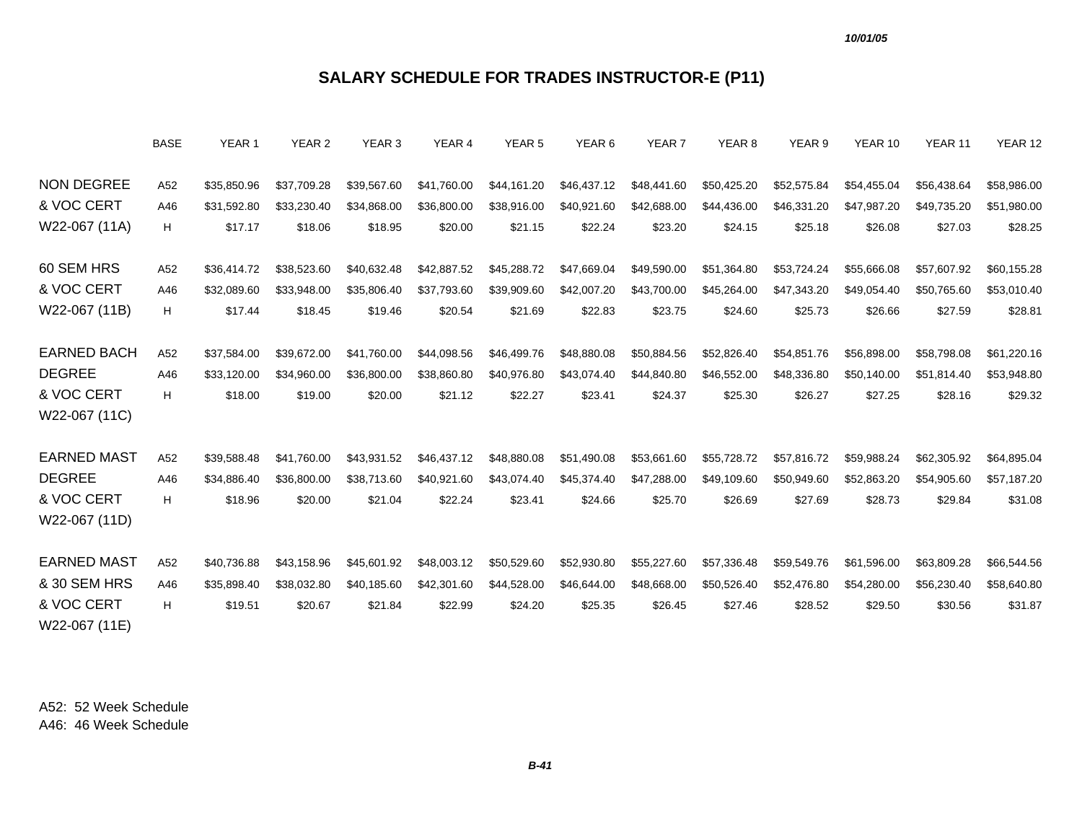# **SALARY SCHEDULE FOR TRADES INSTRUCTOR-E (P11)**

|                    | <b>BASE</b> | YEAR 1      | YEAR 2      | YEAR 3      | YEAR 4      | YEAR 5      | YEAR 6      | YEAR 7      | YEAR 8      | YEAR 9      | YEAR 10     | YEAR 11     | YEAR 12     |
|--------------------|-------------|-------------|-------------|-------------|-------------|-------------|-------------|-------------|-------------|-------------|-------------|-------------|-------------|
| <b>NON DEGREE</b>  | A52         | \$35,850.96 | \$37,709.28 | \$39,567.60 | \$41,760.00 | \$44,161.20 | \$46,437.12 | \$48,441.60 | \$50,425.20 | \$52,575.84 | \$54,455.04 | \$56,438.64 | \$58,986.00 |
| & VOC CERT         | A46         | \$31,592.80 | \$33.230.40 | \$34,868.00 | \$36,800.00 | \$38,916.00 | \$40,921.60 | \$42,688.00 | \$44,436.00 | \$46,331.20 | \$47,987.20 | \$49,735.20 | \$51,980.00 |
| W22-067 (11A)      | H           | \$17.17     | \$18.06     | \$18.95     | \$20.00     | \$21.15     | \$22.24     | \$23.20     | \$24.15     | \$25.18     | \$26.08     | \$27.03     | \$28.25     |
| 60 SEM HRS         | A52         | \$36,414.72 | \$38,523.60 | \$40,632.48 | \$42,887.52 | \$45,288.72 | \$47,669.04 | \$49,590.00 | \$51,364.80 | \$53,724.24 | \$55,666.08 | \$57,607.92 | \$60,155.28 |
| & VOC CERT         | A46         | \$32,089.60 | \$33,948.00 | \$35,806.40 | \$37,793.60 | \$39,909.60 | \$42,007.20 | \$43,700.00 | \$45,264.00 | \$47,343.20 | \$49,054.40 | \$50,765.60 | \$53,010.40 |
| W22-067 (11B)      | Н           | \$17.44     | \$18.45     | \$19.46     | \$20.54     | \$21.69     | \$22.83     | \$23.75     | \$24.60     | \$25.73     | \$26.66     | \$27.59     | \$28.81     |
|                    |             |             |             |             |             |             |             |             |             |             |             |             |             |
| <b>EARNED BACH</b> | A52         | \$37,584.00 | \$39,672.00 | \$41,760.00 | \$44,098.56 | \$46,499.76 | \$48,880.08 | \$50,884.56 | \$52,826.40 | \$54,851.76 | \$56,898,00 | \$58,798.08 | \$61,220.16 |
| <b>DEGREE</b>      | A46         | \$33,120.00 | \$34.960.00 | \$36,800.00 | \$38,860.80 | \$40,976.80 | \$43,074.40 | \$44,840.80 | \$46,552.00 | \$48,336.80 | \$50,140.00 | \$51.814.40 | \$53,948.80 |
| & VOC CERT         | H           | \$18.00     | \$19.00     | \$20.00     | \$21.12     | \$22.27     | \$23.41     | \$24.37     | \$25.30     | \$26.27     | \$27.25     | \$28.16     | \$29.32     |
| W22-067 (11C)      |             |             |             |             |             |             |             |             |             |             |             |             |             |
|                    |             |             |             |             |             |             |             |             |             |             |             |             |             |
| <b>EARNED MAST</b> | A52         | \$39,588.48 | \$41,760.00 | \$43,931.52 | \$46,437.12 | \$48,880.08 | \$51,490.08 | \$53,661.60 | \$55,728.72 | \$57,816.72 | \$59,988.24 | \$62,305.92 | \$64,895.04 |
| <b>DEGREE</b>      | A46         | \$34,886.40 | \$36,800.00 | \$38,713.60 | \$40,921.60 | \$43.074.40 | \$45,374.40 | \$47,288.00 | \$49,109.60 | \$50,949.60 | \$52,863.20 | \$54,905.60 | \$57,187.20 |
| & VOC CERT         | H           | \$18.96     | \$20.00     | \$21.04     | \$22.24     | \$23.41     | \$24.66     | \$25.70     | \$26.69     | \$27.69     | \$28.73     | \$29.84     | \$31.08     |
| W22-067 (11D)      |             |             |             |             |             |             |             |             |             |             |             |             |             |
|                    |             |             |             |             |             |             |             |             |             |             |             |             |             |
| <b>EARNED MAST</b> | A52         | \$40,736.88 | \$43,158.96 | \$45,601.92 | \$48,003.12 | \$50,529.60 | \$52,930.80 | \$55,227.60 | \$57,336.48 | \$59,549.76 | \$61,596.00 | \$63,809.28 | \$66,544.56 |
| & 30 SEM HRS       | A46         | \$35,898.40 | \$38,032.80 | \$40,185.60 | \$42,301.60 | \$44,528.00 | \$46,644.00 | \$48,668.00 | \$50,526.40 | \$52,476.80 | \$54,280.00 | \$56,230.40 | \$58,640.80 |
| & VOC CERT         | H           | \$19.51     | \$20.67     | \$21.84     | \$22.99     | \$24.20     | \$25.35     | \$26.45     | \$27.46     | \$28.52     | \$29.50     | \$30.56     | \$31.87     |
| W22-067 (11E)      |             |             |             |             |             |             |             |             |             |             |             |             |             |
|                    |             |             |             |             |             |             |             |             |             |             |             |             |             |

A52: 52 Week ScheduleA46: 46 Week Schedule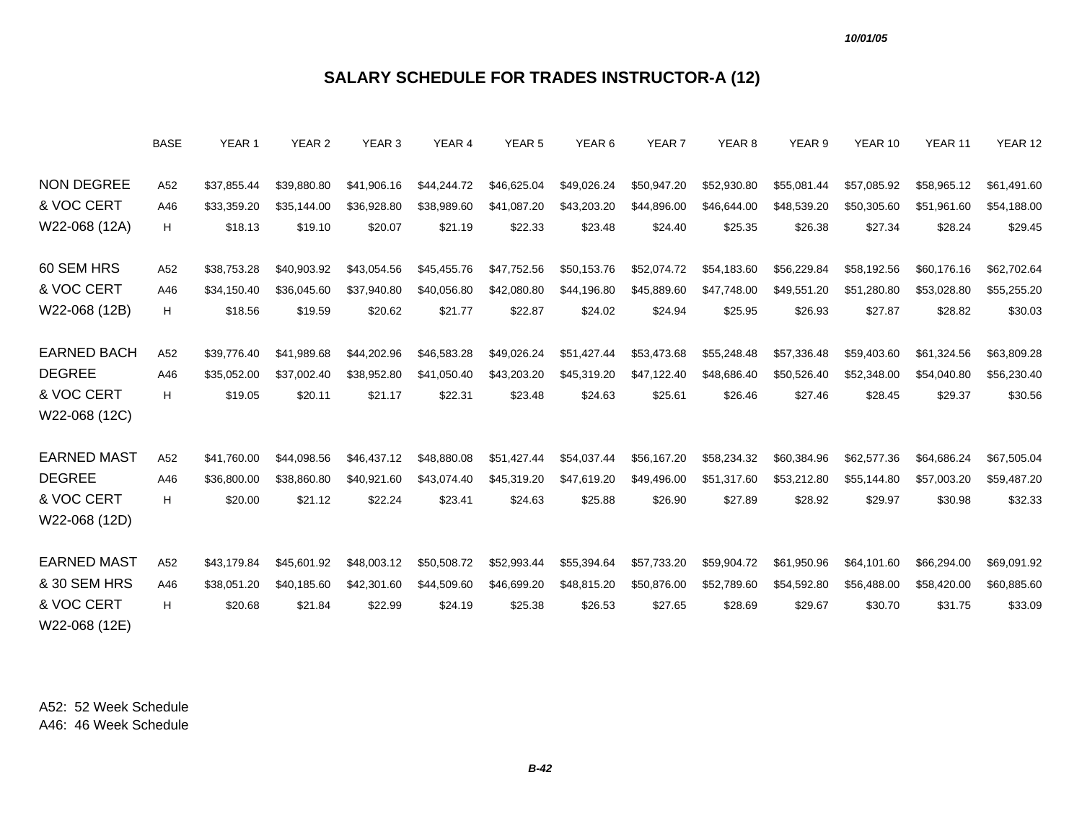# **SALARY SCHEDULE FOR TRADES INSTRUCTOR-A (12)**

|                                 | BASE       | YEAR 1                     | YEAR 2                     | YEAR 3                     | YEAR 4                     | YEAR 5                     | YEAR 6                     | YEAR 7                     | YEAR 8                     | YEAR 9                     | YEAR 10                    | YEAR 11                    | YEAR 12                    |
|---------------------------------|------------|----------------------------|----------------------------|----------------------------|----------------------------|----------------------------|----------------------------|----------------------------|----------------------------|----------------------------|----------------------------|----------------------------|----------------------------|
| <b>NON DEGREE</b><br>& VOC CERT | A52<br>A46 | \$37,855.44<br>\$33,359.20 | \$39,880.80<br>\$35,144.00 | \$41,906.16<br>\$36,928.80 | \$44,244.72<br>\$38,989.60 | \$46,625.04<br>\$41,087.20 | \$49,026.24<br>\$43,203.20 | \$50,947.20<br>\$44,896.00 | \$52,930.80<br>\$46,644.00 | \$55,081.44<br>\$48,539.20 | \$57,085.92<br>\$50,305.60 | \$58,965.12<br>\$51,961.60 | \$61,491.60<br>\$54,188.00 |
| W22-068 (12A)                   | H          | \$18.13                    | \$19.10                    | \$20.07                    | \$21.19                    | \$22.33                    | \$23.48                    | \$24.40                    | \$25.35                    | \$26.38                    | \$27.34                    | \$28.24                    | \$29.45                    |
|                                 |            |                            |                            |                            |                            |                            |                            |                            |                            |                            |                            |                            |                            |
| 60 SEM HRS                      | A52        | \$38,753.28                | \$40,903.92                | \$43,054.56                | \$45,455.76                | \$47,752.56                | \$50,153.76                | \$52,074.72                | \$54,183.60                | \$56,229.84                | \$58,192.56                | \$60,176.16                | \$62,702.64                |
| & VOC CERT                      | A46        | \$34,150.40                | \$36,045.60                | \$37,940.80                | \$40,056.80                | \$42,080.80                | \$44,196.80                | \$45,889.60                | \$47,748.00                | \$49,551.20                | \$51,280.80                | \$53,028.80                | \$55,255.20                |
| W22-068 (12B)                   | н          | \$18.56                    | \$19.59                    | \$20.62                    | \$21.77                    | \$22.87                    | \$24.02                    | \$24.94                    | \$25.95                    | \$26.93                    | \$27.87                    | \$28.82                    | \$30.03                    |
|                                 |            |                            |                            |                            |                            |                            |                            |                            |                            |                            |                            |                            |                            |
| <b>EARNED BACH</b>              | A52        | \$39,776.40                | \$41,989.68                | \$44,202.96                | \$46,583.28                | \$49,026.24                | \$51,427.44                | \$53,473.68                | \$55,248.48                | \$57,336.48                | \$59,403.60                | \$61,324.56                | \$63,809.28                |
| <b>DEGREE</b>                   | A46        | \$35,052.00                | \$37.002.40                | \$38,952.80                | \$41,050.40                | \$43,203.20                | \$45,319.20                | \$47,122.40                | \$48,686.40                | \$50,526.40                | \$52,348.00                | \$54,040.80                | \$56,230.40                |
| & VOC CERT                      | н          | \$19.05                    | \$20.11                    | \$21.17                    | \$22.31                    | \$23.48                    | \$24.63                    | \$25.61                    | \$26.46                    | \$27.46                    | \$28.45                    | \$29.37                    | \$30.56                    |
| W22-068 (12C)                   |            |                            |                            |                            |                            |                            |                            |                            |                            |                            |                            |                            |                            |
| <b>EARNED MAST</b>              |            |                            |                            |                            |                            |                            |                            |                            |                            |                            |                            |                            |                            |
| <b>DEGREE</b>                   | A52<br>A46 | \$41,760.00                | \$44,098.56<br>\$38,860.80 | \$46,437.12                | \$48,880.08<br>\$43.074.40 | \$51,427.44                | \$54,037.44                | \$56,167.20                | \$58,234.32<br>\$51.317.60 | \$60,384.96                | \$62,577.36<br>\$55,144.80 | \$64,686.24                | \$67,505.04                |
| & VOC CERT                      | H          | \$36,800.00                |                            | \$40,921.60                |                            | \$45,319.20                | \$47,619.20                | \$49,496.00                |                            | \$53,212.80                |                            | \$57,003.20                | \$59,487.20                |
| W22-068 (12D)                   |            | \$20.00                    | \$21.12                    | \$22.24                    | \$23.41                    | \$24.63                    | \$25.88                    | \$26.90                    | \$27.89                    | \$28.92                    | \$29.97                    | \$30.98                    | \$32.33                    |
|                                 |            |                            |                            |                            |                            |                            |                            |                            |                            |                            |                            |                            |                            |
| <b>EARNED MAST</b>              | A52        | \$43,179.84                | \$45,601.92                | \$48,003.12                | \$50,508.72                | \$52,993.44                | \$55,394.64                | \$57,733.20                | \$59,904.72                | \$61,950.96                | \$64,101.60                | \$66,294.00                | \$69,091.92                |
| & 30 SEM HRS                    | A46        | \$38,051.20                | \$40,185.60                | \$42,301.60                | \$44,509.60                | \$46,699.20                | \$48,815.20                | \$50,876.00                | \$52,789.60                | \$54,592.80                | \$56,488.00                | \$58,420.00                | \$60,885.60                |
| & VOC CERT                      | н          | \$20.68                    | \$21.84                    | \$22.99                    | \$24.19                    | \$25.38                    | \$26.53                    | \$27.65                    | \$28.69                    | \$29.67                    | \$30.70                    | \$31.75                    | \$33.09                    |
| W22-068 (12E)                   |            |                            |                            |                            |                            |                            |                            |                            |                            |                            |                            |                            |                            |
|                                 |            |                            |                            |                            |                            |                            |                            |                            |                            |                            |                            |                            |                            |

A52: 52 Week ScheduleA46: 46 Week Schedule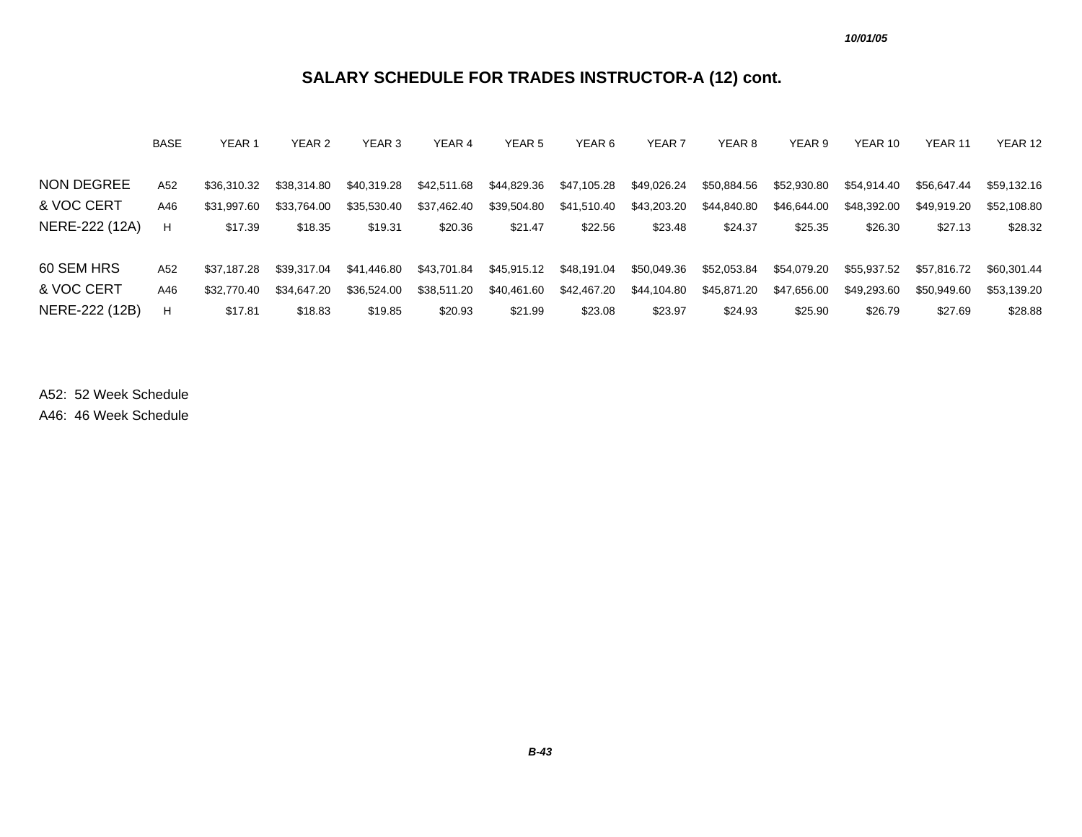# **SALARY SCHEDULE FOR TRADES INSTRUCTOR-A (12) cont.**

|                | <b>BASE</b> | YEAR 1      | YEAR 2      | YEAR <sub>3</sub> | YEAR 4      | YEAR 5      | YEAR <sub>6</sub> | YEAR <sub>7</sub> | YEAR 8      | YEAR 9      | YEAR 10     | YEAR 11     | YEAR 12     |
|----------------|-------------|-------------|-------------|-------------------|-------------|-------------|-------------------|-------------------|-------------|-------------|-------------|-------------|-------------|
|                |             |             |             |                   |             |             |                   |                   |             |             |             |             |             |
| NON DEGREE     | A52         | \$36,310,32 | \$38,314.80 | \$40,319.28       | \$42,511.68 | \$44,829.36 | \$47,105.28       | \$49,026.24       | \$50,884.56 | \$52,930.80 | \$54,914.40 | \$56,647.44 | \$59,132.16 |
| & VOC CERT     | A46         | \$31.997.60 | \$33.764.00 | \$35,530.40       | \$37,462.40 | \$39,504.80 | \$41,510.40       | \$43,203.20       | \$44,840.80 | \$46,644,00 | \$48,392.00 | \$49,919.20 | \$52,108.80 |
| NERE-222 (12A) | H           | \$17.39     | \$18.35     | \$19.31           | \$20.36     | \$21.47     | \$22.56           | \$23.48           | \$24.37     | \$25.35     | \$26.30     | \$27.13     | \$28.32     |
|                |             |             |             |                   |             |             |                   |                   |             |             |             |             |             |
| 60 SEM HRS     | A52         | \$37.187.28 | \$39.317.04 | \$41,446.80       | \$43,701.84 | \$45,915.12 | \$48,191.04       | \$50,049.36       | \$52,053.84 | \$54,079.20 | \$55,937.52 | \$57,816.72 | \$60,301.44 |
| & VOC CERT     | A46         | \$32,770.40 | \$34,647.20 | \$36,524.00       | \$38,511.20 | \$40,461.60 | \$42,467.20       | \$44,104.80       | \$45,871.20 | \$47,656.00 | \$49,293.60 | \$50,949.60 | \$53,139.20 |
| NERE-222 (12B) | H           | \$17.81     | \$18.83     | \$19.85           | \$20.93     | \$21.99     | \$23.08           | \$23.97           | \$24.93     | \$25.90     | \$26.79     | \$27.69     | \$28.88     |

A52: 52 Week Schedule

A46: 46 Week Schedule